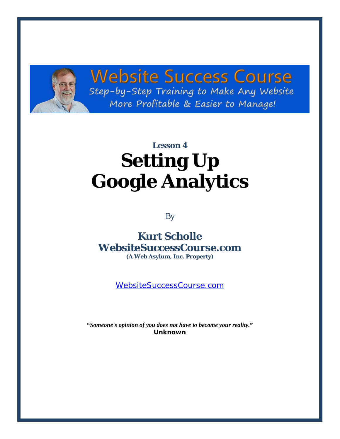

## **Website Success Course** Step-by-Step Training to Make Any Website More Profitable & Easier to Manage!

# **Lesson 4 Setting Up Google Analytics**

By

### **Kurt Scholle WebsiteSuccessCourse.com (A Web Asylum, Inc. Property)**

[WebsiteSuccessCourse.com](http://www.websitesuccesscourse.com/wsc1)

**"***Someone's opinion of you does not have to become your reality.***" Unknown**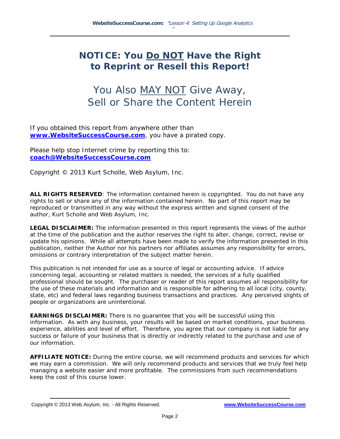### **NOTICE: You Do NOT Have the Right to Reprint or Resell this Report!**

## You Also MAY NOT Give Away, Sell or Share the Content Herein

If you obtained this report from anywhere other than **[www.WebsiteSuccessCourse.com](http://www.websitesuccesscourse.com/wsc1)**, you have a pirated copy.

Please help stop Internet crime by reporting this to: **[coach@WebsiteSuccessCourse.com](mailto:coach@WebsiteSuccessCourse.com)** 

Copyright © 2013 Kurt Scholle, Web Asylum, Inc.

**ALL RIGHTS RESERVED**: The information contained herein is copyrighted. You do not have any rights to sell or share any of the information contained herein. No part of this report may be reproduced or transmitted in any way without the express written and signed consent of the author, Kurt Scholle and Web Asylum, Inc.

**LEGAL DISCLAIMER:** The information presented in this report represents the views of the author at the time of the publication and the author reserves the right to alter, change, correct, revise or update his opinions. While all attempts have been made to verify the information presented in this publication, neither the Author nor his partners nor affiliates assumes any responsibility for errors, omissions or contrary interpretation of the subject matter herein.

This publication is not intended for use as a source of legal or accounting advice. If advice concerning legal, accounting or related matters is needed, the services of a fully qualified professional should be sought. The purchaser or reader of this report assumes all responsibility for the use of these materials and information and is responsible for adhering to all local (city, county, state, etc) and federal laws regarding business transactions and practices. Any perceived slights of people or organizations are unintentional.

**EARNINGS DISCLAIMER:** There is no guarantee that you will be successful using this information. As with any business, your results will be based on market conditions, your business experience, abilities and level of effort. Therefore, you agree that our company is not liable for any success or failure of your business that is directly or indirectly related to the purchase and use of our information.

**AFFILIATE NOTICE:** During the entire course, we will recommend products and services for which we may earn a commission. We will only recommend products and services that we truly feel help managing a website easier and more profitable. The commissions from such recommendations keep the cost of this course lower.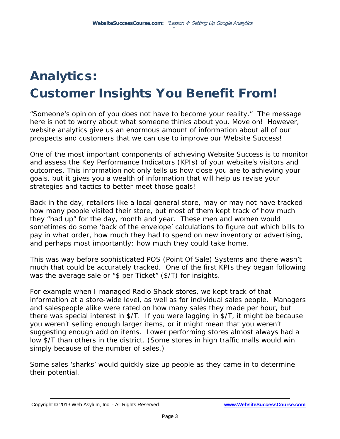## Analytics: Customer Insights You Benefit From!

"*Someone's opinion of you does not have to become your reality*." The message here is not to worry about what someone thinks about you. Move on! However, website analytics give us an enormous amount of information about all of our prospects and customers that we can use to improve our Website Success!

One of the most important components of achieving Website Success is to monitor and assess the Key Performance Indicators (KPIs) of your website's visitors and outcomes. This information not only tells us how close you are to achieving your goals, but it gives you a wealth of information that will help us revise your strategies and tactics to better meet those goals!

Back in the day, retailers like a local general store, may or may not have tracked how many people visited their store, but most of them kept track of how much they "had up" for the day, month and year. These men and women would sometimes do some 'back of the envelope' calculations to figure out which bills to pay in what order, how much they had to spend on new inventory or advertising, and perhaps most importantly; how much they could take home.

This was way before sophisticated POS (Point Of Sale) Systems and there wasn't much that could be accurately tracked. One of the first KPIs they began following was the average sale or "\$ per Ticket" (\$/T) for insights.

For example when I managed Radio Shack stores, we kept track of that information at a store-wide level, as well as for individual sales people. Managers and salespeople alike were rated on how many sales they made per hour, but there was special interest in \$/T. If you were lagging in \$/T, it might be because you weren't selling enough larger items, or it might mean that you weren't suggesting enough add on items. Lower performing stores almost always had a low \$/T than others in the district. (Some stores in high traffic malls would win simply because of the number of sales.)

Some sales 'sharks' would quickly size up people as they came in to determine their potential.

Copyright © 2013 Web Asylum, Inc. - All Rights Reserved. **[www.WebsiteSuccessCourse.com](http://www.websitesuccesscourse.com/wsc1)**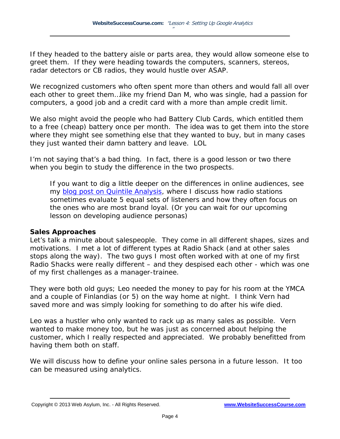If they headed to the battery aisle or parts area, they would allow someone else to greet them. If they were heading towards the computers, scanners, stereos, radar detectors or CB radios, they would hustle over ASAP.

We recognized customers who often spent more than others and would fall all over each other to greet them…like my friend Dan M, who was single, had a passion for computers, a good job and a credit card with a more than ample credit limit.

We also might avoid the people who had Battery Club Cards, which entitled them to a free (cheap) battery once per month. The idea was to get them into the store where they might see something else that they wanted to buy, but in many cases they *just wanted their damn battery* and leave. LOL

I'm not saying that's a bad thing. In fact, there is a good lesson or two there when you begin to study the difference in the two prospects.

If you want to dig a little deeper on the differences in online audiences, see my [blog post on Quintile Analysis,](http://websitesuccesscourse.com/04quintile) where I discuss how radio stations sometimes evaluate 5 equal sets of listeners and how they often focus on the ones who are most brand loyal. (Or you can wait for our upcoming lesson on developing audience personas)

#### **Sales Approaches**

Let's talk a minute about salespeople. They come in all different shapes, sizes and motivations. I met a lot of different types at Radio Shack (and at other sales stops along the way). The two guys I most often worked with at one of my first Radio Shacks were really different – and they despised each other - which was one of my first challenges as a manager-trainee.

They were both old guys; Leo needed the money to pay for his room at the YMCA and a couple of Finlandias (or 5) on the way home at night. I think Vern had saved more and was simply looking for something to do after his wife died.

Leo was a hustler who only wanted to rack up as many sales as possible. Vern wanted to make money too, but he was just as concerned about helping the customer, which I really respected and appreciated. We probably benefitted from having them both on staff.

We will discuss how to define your online sales persona in a future lesson. It too can be measured using analytics.

Copyright © 2013 Web Asylum, Inc. - All Rights Reserved. **[www.WebsiteSuccessCourse.com](http://www.websitesuccesscourse.com/wsc1)**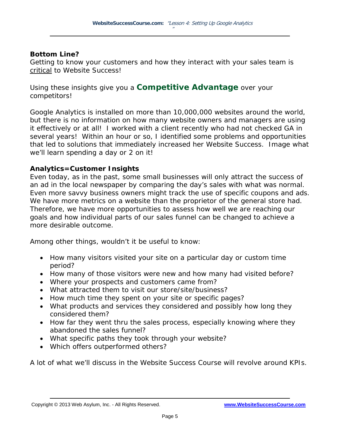#### **Bottom Line?**

Getting to know your customers and how they interact with your sales team is critical to Website Success!

Using these insights give you a **Competitive Advantage** over your competitors!

Google Analytics is installed on more than 10,000,000 websites around the world, but there is no information on how many website owners and managers are using it effectively or at all! I worked with a client recently who had not checked GA in several years! Within an hour or so, I identified some problems and opportunities that led to solutions that immediately increased her Website Success. Image what we'll learn spending a day or 2 on it!

#### **Analytics=Customer Insights**

Even today, as in the past, some small businesses will only attract the success of an ad in the local newspaper by comparing the day's sales with what was normal. Even more savvy business owners might track the use of specific coupons and ads. We have more metrics on a website than the proprietor of the general store had. Therefore, we have more opportunities to assess how well we are reaching our goals and how individual parts of our sales funnel can be changed to achieve a more desirable outcome.

Among other things, wouldn't it be useful to know:

- How many visitors visited your site on a particular day or custom time period?
- How many of those visitors were new and how many had visited before?
- Where your prospects and customers came from?
- What attracted them to visit our store/site/business?
- How much time they spent on your site or specific pages?
- What products and services they considered and possibly how long they considered them?
- How far they went thru the sales process, especially knowing where they abandoned the sales funnel?
- What specific paths they took through your website?
- Which offers outperformed others?

A lot of what we'll discuss in the Website Success Course will revolve around KPIs.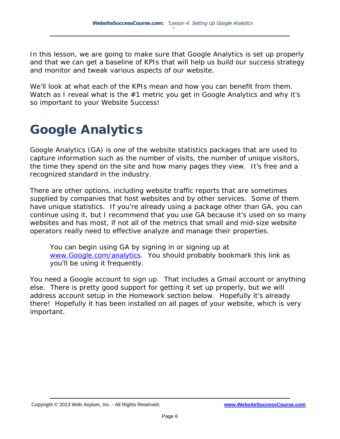In this lesson, we are going to make sure that Google Analytics is set up properly and that we can get a baseline of KPIs that will help us build our success strategy and monitor and tweak various aspects of our website.

We'll look at what each of the KPIs mean and how you can benefit from them. Watch as I reveal what is the #1 metric you get in Google Analytics and why it's so important to your Website Success!

## Google Analytics

Google Analytics (GA) is one of the website statistics packages that are used to capture information such as the number of visits, the number of unique visitors, the time they spend on the site and how many pages they view. It's free and a recognized standard in the industry.

There are other options, including website traffic reports that are sometimes supplied by companies that host websites and by other services. Some of them have unique statistics. If you're already using a package other than GA, you can continue using it, but I recommend that you use GA because it's used on so many websites and has most, if not all of the metrics that small and mid-size website operators really need to effective analyze and manage their properties.

You can begin using GA by signing in or signing up at [www.Google.com/analytics.](http://websitesuccesscourse.com/ga) You should probably bookmark this link as you'll be using it frequently.

You need a Google account to sign up. That includes a Gmail account or anything else. There is pretty good support for getting it set up properly, but we will address account setup in the Homework section below. Hopefully it's already there! Hopefully it has been installed on all pages of your website, which is very important.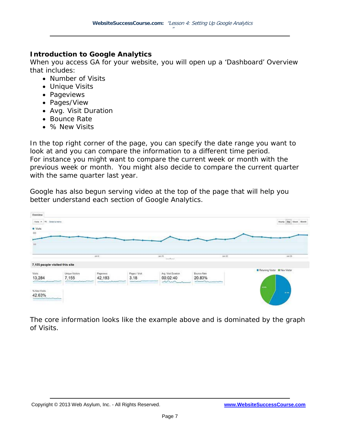#### **Introduction to Google Analytics**

When you access GA for your website, you will open up a 'Dashboard' Overview that includes:

- Number of Visits
- Unique Visits
- Pageviews
- Pages/View
- Avg. Visit Duration
- Bounce Rate
- % New Visits

In the top right corner of the page, you can specify the date range you want to look at and you can compare the information to a different time period. For instance you might want to compare the current week or month with the previous week or month. You might also decide to compare the current quarter with the same quarter last year.

Google has also begun serving video at the top of the page that will help you better understand each section of Google Analytics.

| Overview<br>Vista . 15 Select a metric                                                 |                                 |                                                                   |                                                        |                                                   |                                                                                                                                                                                                                                                                                                                                                                                     | Buy Week Month<br><b>Footh</b>    |
|----------------------------------------------------------------------------------------|---------------------------------|-------------------------------------------------------------------|--------------------------------------------------------|---------------------------------------------------|-------------------------------------------------------------------------------------------------------------------------------------------------------------------------------------------------------------------------------------------------------------------------------------------------------------------------------------------------------------------------------------|-----------------------------------|
| · Vista                                                                                |                                 |                                                                   |                                                        |                                                   |                                                                                                                                                                                                                                                                                                                                                                                     |                                   |
| 600                                                                                    |                                 |                                                                   |                                                        |                                                   |                                                                                                                                                                                                                                                                                                                                                                                     |                                   |
| 300                                                                                    |                                 |                                                                   |                                                        |                                                   |                                                                                                                                                                                                                                                                                                                                                                                     |                                   |
|                                                                                        |                                 |                                                                   |                                                        |                                                   |                                                                                                                                                                                                                                                                                                                                                                                     |                                   |
|                                                                                        |                                 | 4918                                                              |                                                        | (1993).<br>L. Magazi                              | 38622                                                                                                                                                                                                                                                                                                                                                                               | (8129)                            |
| 7,155 people visited this site                                                         |                                 |                                                                   |                                                        |                                                   |                                                                                                                                                                                                                                                                                                                                                                                     |                                   |
| Vists<br>13,284                                                                        | Unique Visitars<br>7,155<br>--- | 120210-002<br>Pagevens<br>42,193<br>and the company's property of | Pages / Visit<br>3.18<br><b>State and College Inc.</b> | Avg. Visit Duration<br>00:02:40<br>$\sim\sim\sim$ | <b>Beance Rate</b><br>20.83%<br>$\begin{picture}(20,10) \put(0,0){\line(1,0){10}} \put(10,0){\line(1,0){10}} \put(10,0){\line(1,0){10}} \put(10,0){\line(1,0){10}} \put(10,0){\line(1,0){10}} \put(10,0){\line(1,0){10}} \put(10,0){\line(1,0){10}} \put(10,0){\line(1,0){10}} \put(10,0){\line(1,0){10}} \put(10,0){\line(1,0){10}} \put(10,0){\line(1,0){10}} \put(10,0){\line(1$ | Returning Visitor III New Visitor |
| % New Visits<br>42.63%<br>مستعمل المستعمل المتحدث المتوافق المتعاطف المتعاطف المتعاطفة |                                 |                                                                   |                                                        |                                                   |                                                                                                                                                                                                                                                                                                                                                                                     | iem.<br>10.45                     |

The core information looks like the example above and is dominated by the graph of Visits.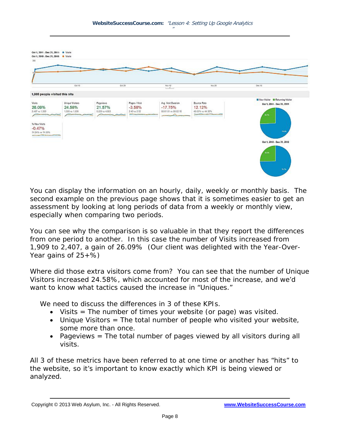

You can display the information on an hourly, daily, weekly or monthly basis. The second example on the previous page shows that it is sometimes easier to get an assessment by looking at long periods of data from a weekly or monthly view, especially when comparing two periods.

You can see why the comparison is so valuable in that they report the differences from one period to another. In this case the number of Visits increased from 1,909 to 2,407, a gain of 26.09% (Our client was delighted with the Year-Over-Year gains of  $25+$ %)

Where did those extra visitors come from? You can see that the number of Unique Visitors increased 24.58%, which accounted for most of the increase, and we'd want to know what tactics caused the increase in "Uniques."

We need to discuss the differences in 3 of these KPIs.

- Visits  $=$  The number of times your website (or page) was visited.
- Unique Visitors = The total number of people who visited your website, some more than once.
- Pageviews = The total number of pages viewed by all visitors during all visits.

All 3 of these metrics have been referred to at one time or another has "hits" to the website, so it's important to know exactly which KPI is being viewed or analyzed.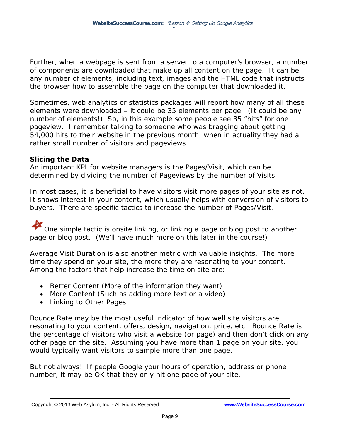Further, when a webpage is sent from a server to a computer's browser, a number of components are downloaded that make up all content on the page. It can be any number of elements, including text, images and the HTML code that instructs the browser how to assemble the page on the computer that downloaded it.

Sometimes, web analytics or statistics packages will report how many of all these elements were downloaded – it could be 35 elements per page. (It could be any number of elements!) So, in this example some people see 35 "hits" for one pageview. I remember talking to someone who was bragging about getting 54,000 hits to their website in the previous month, when in actuality they had a rather small number of visitors and pageviews.

#### **Slicing the Data**

An important KPI for website managers is the Pages/Visit, which can be determined by dividing the number of Pageviews by the number of Visits.

In most cases, it is beneficial to have visitors visit more pages of your site as not. It shows interest in your content, which usually helps with conversion of visitors to buyers. There are specific tactics to increase the number of Pages/Visit.

One simple tactic is onsite linking, or linking a page or blog post to another page or blog post. (We'll have much more on this later in the course!)

Average Visit Duration is also another metric with valuable insights. The more time they spend on your site, the more they are resonating to your content. Among the factors that help increase the time on site are:

- Better Content (More of the information they want)
- More Content (Such as adding more text or a video)
- Linking to Other Pages

Bounce Rate may be the most useful indicator of how well site visitors are resonating to your content, offers, design, navigation, price, etc. Bounce Rate is the percentage of visitors who visit a website (or page) and then don't click on any other page on the site. Assuming you have more than 1 page on your site, you would typically want visitors to sample more than one page.

But not always! If people Google your hours of operation, address or phone number, it may be OK that they only hit one page of your site.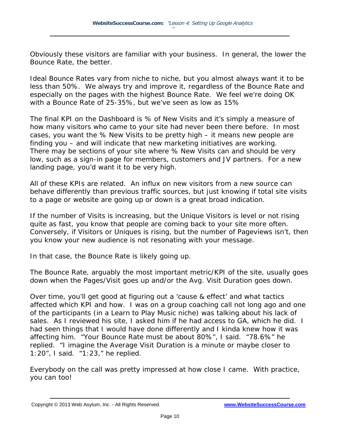Obviously these visitors are familiar with your business. In general, the lower the Bounce Rate, the better.

Ideal Bounce Rates vary from niche to niche, but you almost always want it to be less than 50%. We always try and improve it, regardless of the Bounce Rate and especially on the pages with the highest Bounce Rate. We feel we're doing OK with a Bounce Rate of 25-35%, but we've seen as low as 15%

The final KPI on the Dashboard is % of New Visits and it's simply a measure of how many visitors who came to your site had never been there before. In most cases, you want the % New Visits to be pretty high – it means new people are finding you – and will indicate that new marketing initiatives are working. There may be sections of your site where % New Visits can and should be very low, such as a sign-in page for members, customers and JV partners. For a new landing page, you'd want it to be very high.

All of these KPIs are related. An influx on new visitors from a new source can behave differently than previous traffic sources, but just knowing if total site visits to a page or website are going up or down is a great broad indication.

If the number of Visits is increasing, but the Unique Visitors is level or not rising quite as fast, you know that people are coming back to your site more often. Conversely, if Visitors or Uniques is rising, but the number of Pageviews isn't, then you know your new audience is not resonating with your message.

In that case, the Bounce Rate is likely going up.

The Bounce Rate, arguably the most important metric/KPI of the site, usually goes down when the Pages/Visit goes up and/or the Avg. Visit Duration goes down.

Over time, you'll get good at figuring out a 'cause & effect' and what tactics affected which KPI and how. I was on a group coaching call not long ago and one of the participants (in a Learn to Play Music niche) was talking about his lack of sales. As I reviewed his site, I asked him if he had access to GA, which he did. I had seen things that I would have done differently and I kinda knew how it was affecting him. "Your Bounce Rate must be about 80%", I said. "78.6%" he replied. "I imagine the Average Visit Duration is a minute or maybe closer to 1:20", I said. "1:23," he replied.

Everybody on the call was pretty impressed at how close I came. With practice, you can too!

Copyright © 2013 Web Asylum, Inc. - All Rights Reserved. **[www.WebsiteSuccessCourse.com](http://www.websitesuccesscourse.com/wsc1)**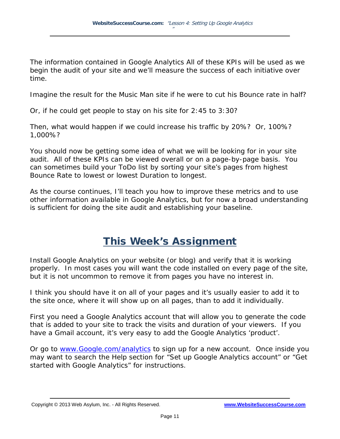The information contained in Google Analytics All of these KPIs will be used as we begin the audit of your site and we'll measure the success of each initiative over time.

Imagine the result for the Music Man site if he were to cut his Bounce rate in half?

Or, if he could get people to stay on his site for 2:45 to 3:30?

Then, what would happen if we could increase his traffic by 20%? Or, 100%? 1,000%?

You should now be getting some idea of what we will be looking for in your site audit. All of these KPIs can be viewed overall or on a page-by-page basis. You can sometimes build your ToDo list by sorting your site's pages from highest Bounce Rate to lowest or lowest Duration to longest.

As the course continues, I'll teach you how to improve these metrics and to use other information available in Google Analytics, but for now a broad understanding is sufficient for doing the site audit and establishing your baseline.

## This Week's Assignment

Install Google Analytics on your website (or blog) and verify that it is working properly. In most cases you will want the code installed on every page of the site, but it is not uncommon to remove it from pages you have no interest in.

I think you should have it on all of your pages and it's usually easier to add it to the site once, where it will show up on all pages, than to add it individually.

First you need a Google Analytics account that will allow you to generate the code that is added to your site to track the visits and duration of your viewers. If you have a Gmail account, it's very easy to add the Google Analytics 'product'.

Or go to [www.Google.com/analytics](http://websitesuccesscourse.com/ga) to sign up for a new account. Once inside you may want to search the Help section for "Set up Google Analytics account" or "Get started with Google Analytics" for instructions.

Copyright © 2013 Web Asylum, Inc. - All Rights Reserved. **[www.WebsiteSuccessCourse.com](http://www.websitesuccesscourse.com/wsc1)**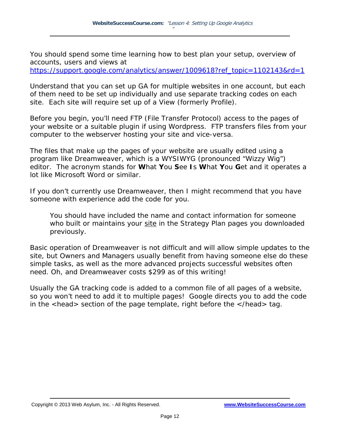You should spend some time learning how to best plan your setup, overview of accounts, users and views at

[https://support.google.com/analytics/answer/1009618?ref\\_topic=1102143&rd=1](http://websitesuccesscourse.com/04gasupport)

Understand that you can set up GA for multiple websites in one account, but each of them need to be set up individually and use separate tracking codes on each site. Each site will require set up of a View (formerly Profile).

Before you begin, you'll need FTP (File Transfer Protocol) access to the pages of your website or a suitable plugin if using Wordpress. FTP transfers files from your computer to the webserver hosting your site and vice-versa.

The files that make up the pages of your website are usually edited using a program like Dreamweaver, which is a WYSIWYG (pronounced "Wizzy Wig") editor. The acronym stands for **W**hat **Y**ou **S**ee **I**s **W**hat **Y**ou **G**et and it operates a lot like Microsoft Word or similar.

If you don't currently use Dreamweaver, then I might recommend that you have someone with experience add the code for you.

You should have included the name and contact information for someone who built or maintains your site in the Strategy Plan pages you downloaded previously.

Basic operation of Dreamweaver is not difficult and will allow simple updates to the site, but Owners and Managers usually benefit from having someone else do these simple tasks, as well as the more advanced projects successful websites often need. Oh, and Dreamweaver costs \$299 as of this writing!

Usually the GA tracking code is added to a common file of all pages of a website, so you won't need to add it to multiple pages! Google directs you to add the code in the <head> section of the page template, right before the </head> tag.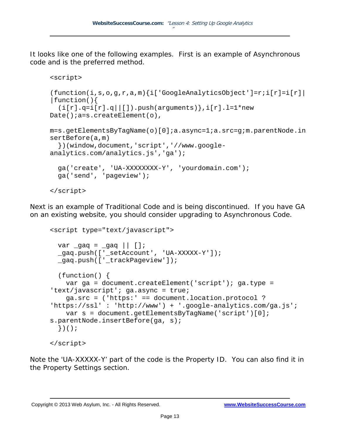It looks like one of the following examples. First is an example of Asynchronous code and is the preferred method.

```
<script>
(function(i,s,o,g,r,a,m){i['GoogleAnalyticsObject']=r;i[r]=i[r]|
|function(){
  (i[r].q=i[r].q||[]).push(arguments),i[r].1=1*new
Date(); a=s.createElement(o),
m=s.getElementsByTagName(o)[0];a.async=1;a.src=g;m.parentNode.in
sertBefore(a,m)
   })(window,document,'script','//www.google-
analytics.com/analytics.js','qa');
   ga('create', 'UA-XXXXXXXX-Y', 'yourdomain.com');
   ga('send', 'pageview');
</script>
```
Next is an example of Traditional Code and is being discontinued. If you have GA on an existing website, you should consider upgrading to Asynchronous Code.

```
<script type="text/javascript">
 var \text{gag} = \text{gag} || [];
 _gaq.push(['_setAccount', 'UA-XXXXX-Y']);
  _gaq.push(['_trackPageview']);
  (function() {
    var ga = document.createElement('script'); ga.type = 
'text/javascript'; ga.async = true;
    ga.src = ('https:' == document.location.protocol ? 
'https://ssl' : 'http://www') + '.google-analytics.com/ga.js';
    var s = document.getElementsByTagName('script')[0]; 
s.parentNode.insertBefore(ga, s);
  \})();
</script>
```
Note the 'UA-XXXXX-Y' part of the code is the Property ID. You can also find it in the Property Settings section.

```
Copyright © 2013 Web Asylum, Inc. - All Rights Reserved. www.WebsiteSuccessCourse.com
```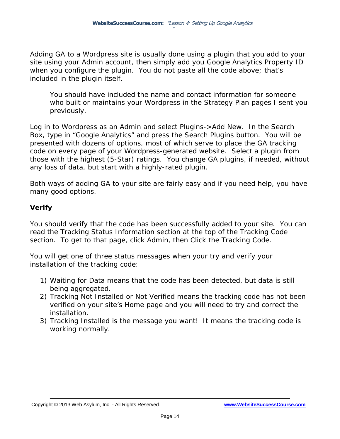Adding GA to a Wordpress site is usually done using a plugin that you add to your site using your Admin account, then simply add you Google Analytics Property ID when you configure the plugin. You do not paste all the code above; that's included in the plugin itself.

You should have included the name and contact information for someone who built or maintains your Wordpress in the Strategy Plan pages I sent you previously.

Log in to Wordpress as an Admin and select Plugins->Add New. In the Search Box, type in "Google Analytics" and press the Search Plugins button. You will be presented with dozens of options, most of which serve to place the GA tracking code on every page of your Wordpress-generated website. Select a plugin from those with the highest (5-Star) ratings. You change GA plugins, if needed, without any loss of data, but start with a highly-rated plugin.

Both ways of adding GA to your site are fairly easy and if you need help, you have many good options.

#### **Verify**

You should verify that the code has been successfully added to your site. You can read the Tracking Status Information section at the top of the Tracking Code section. To get to that page, click Admin, then Click the Tracking Code.

You will get one of three status messages when your try and verify your installation of the tracking code:

- 1) *Waiting for Data* means that the code has been detected, but data is still being aggregated.
- 2) *Tracking Not Installed* or *Not Verified* means the tracking code has not been verified on your site's Home page and you will need to try and correct the installation.
- 3) *Tracking Installed* is the message you want! It means the tracking code is working normally.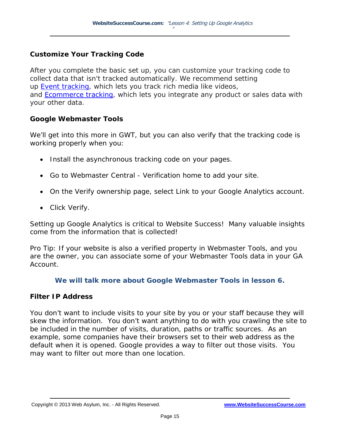#### **Customize Your Tracking Code**

After you complete the basic set up, you can customize your tracking code to collect data that isn't tracked automatically. We recommend setting up Event [tracking,](http://websitesuccesscourse.com/04event) which lets you track rich media like videos, and [Ecommerce](http://websitesuccesscourse.com/04ecommerce) tracking, which lets you integrate any product or sales data with your other data.

#### **Google Webmaster Tools**

We'll get into this more in GWT, but you can also verify that the tracking code is working properly when you:

- Install the asynchronous tracking code on your pages.
- Go to Webmaster Central Verification home to add your site.
- On the Verify ownership page, select Link to your Google Analytics account.
- Click Verify.

Setting up Google Analytics is critical to Website Success! Many valuable insights come from the information that is collected!

Pro Tip: If your website is also a verified property in Webmaster Tools, and you are the owner, you can associate some of your Webmaster Tools data in your GA Account.

#### **We will talk more about Google Webmaster Tools in lesson 6.**

#### **Filter IP Address**

You don't want to include visits to your site by you or your staff because they will skew the information. You don't want anything to do with you crawling the site to be included in the number of visits, duration, paths or traffic sources. As an example, some companies have their browsers set to their web address as the default when it is opened. Google provides a way to filter out those visits. You may want to filter out more than one location.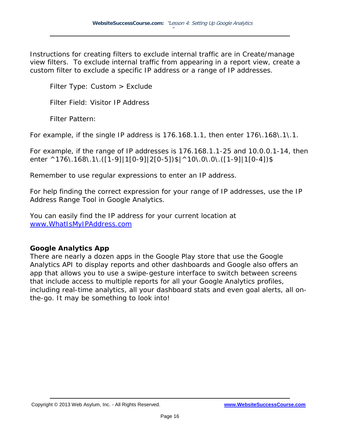Instructions for creating filters to exclude internal traffic are in Create/manage view filters. To exclude internal traffic from appearing in a report view, create a custom filter to exclude a specific IP address or a range of IP addresses.

Filter Type: Custom > Exclude

Filter Field: Visitor IP Address

Filter Pattern:

For example, if the single IP address is 176.168.1.1, then enter 176\.168\.1\.1.

For example, if the range of IP addresses is 176.168.1.1-25 and 10.0.0.1-14, then enter ^176\.168\.1\.([1-9]|1[0-9]|2[0-5])\$|^10\.0\.0\.([1-9]|1[0-4])\$

Remember to use regular expressions to enter an IP address.

For help finding the correct expression for your range of IP addresses, use the IP Address Range Tool in Google Analytics.

You can easily find the IP address for your current location at [www.WhatIsMyIPAddress.com](http://www.whatismyipaddress.com/)

#### **Google Analytics App**

There are nearly a dozen apps in the Google Play store that use the Google Analytics API to display reports and other dashboards and Google also offers an app that allows you to use a swipe-gesture interface to switch between screens that include access to multiple reports for all your Google Analytics profiles, including real-time analytics, all your dashboard stats and even goal alerts, all onthe-go. It may be something to look into!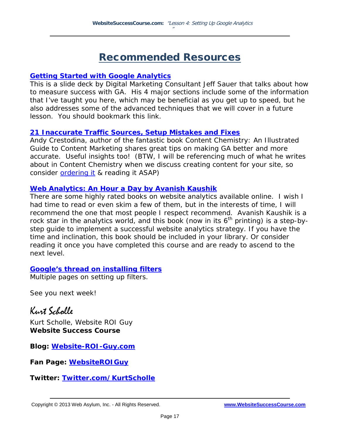### Recommended Resources

#### **[Getting Started with Google Analytics](http://websitesuccesscourse.com/04gagetstarted)**

This is a slide deck by Digital Marketing Consultant Jeff Sauer that talks about how to measure success with GA. His 4 major sections include some of the information that I've taught you here, which may be beneficial as you get up to speed, but he also addresses some of the advanced techniques that we will cover in a future lesson. You should bookmark this link.

#### **[21 Inaccurate Traffic Sources, Setup Mistakes and Fixes](http://websitesuccesscourse.com/04inaccuratetraffic)**

Andy Crestodina, author of the fantastic book *Content Chemistry: An Illustrated Guide to Content Marketing* shares great tips on making GA better and more accurate. Useful insights too! (BTW, I will be referencing much of what he writes about in Content Chemistry when we discuss creating content for your site, so consider **ordering it** & reading it ASAP)

#### **[Web Analytics: An Hour a Day by Avanish Kaushik](http://websitesuccesscourse.com/04avanish)**

There are some highly rated books on website analytics available online. I wish I had time to read or even skim a few of them, but in the interests of time, I will recommend the one that most people I respect recommend. Avanish Kaushik is a rock star in the analytics world, and this book (now in its  $6<sup>th</sup>$  printing) is a step-bystep guide to implement a successful website analytics strategy. If you have the time and inclination, this book should be included in your library. Or consider reading it once you have completed this course and are ready to ascend to the next level.

#### **[Google's thread on installing filters](http://websitesuccesscourse.com/04GAfilters)**

Multiple pages on setting up filters.

See you next week!

Kurt Scholle Kurt Scholle, Website ROI Guy *Website Success Course*

**Blog:** *[Website-ROI-Guy.com](http://websitesuccesscourse.com/wrg1)*

**Fan Page:** *[WebsiteROIGuy](http://websitesuccesscourse.com/facebook)*

**Twitter:** *[Twitter.com/KurtScholle](http://websitesuccesscourse.com/TwitterKurt)*